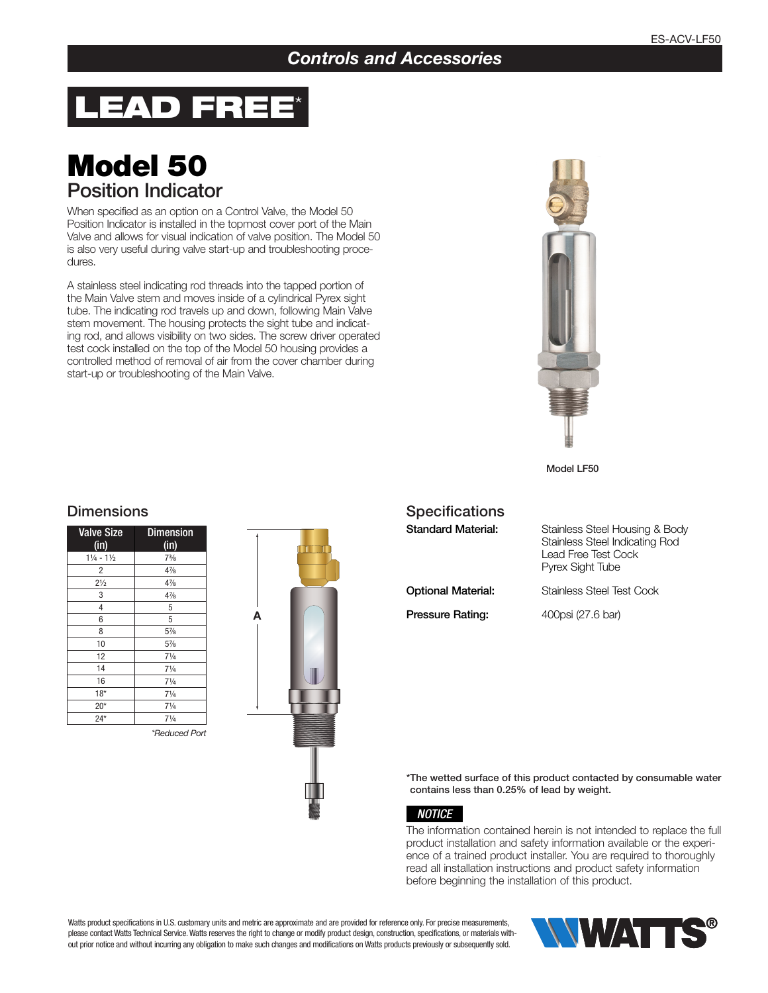### *Controls and Accessories*

# LEAD FREE\*

## Model 50 Position Indicator

When specified as an option on a Control Valve, the Model 50 Position Indicator is installed in the topmost cover port of the Main Valve and allows for visual indication of valve position. The Model 50 is also very useful during valve start-up and troubleshooting procedures.

A stainless steel indicating rod threads into the tapped portion of the Main Valve stem and moves inside of a cylindrical Pyrex sight tube. The indicating rod travels up and down, following Main Valve stem movement. The housing protects the sight tube and indicating rod, and allows visibility on two sides. The screw driver operated test cock installed on the top of the Model 50 housing provides a controlled method of removal of air from the cover chamber during start-up or troubleshooting of the Main Valve.



Model LF50

# **Dimensions**

| <b>Valve Size</b><br>(in)       | <b>Dimension</b><br>(in) |
|---------------------------------|--------------------------|
| $1\frac{1}{4}$ - $1\frac{1}{2}$ | $7\frac{3}{8}$           |
| $\overline{2}$                  | $4\frac{7}{8}$           |
| $2\frac{1}{2}$                  | $4\frac{7}{8}$           |
| 3                               | $4\frac{7}{8}$           |
| 4                               | 5                        |
| 6                               | 5                        |
| 8                               | $5\frac{7}{8}$           |
| 10                              | $5\frac{7}{8}$           |
| 12                              | $7\frac{1}{4}$           |
| 14                              | $7\frac{1}{4}$           |
| 16                              | $7\frac{1}{4}$           |
| $18*$                           | $7\frac{1}{4}$           |
| $20*$                           | $7\frac{1}{4}$           |
| $24*$                           | $7\frac{1}{4}$           |

*\*Reduced Port*



| <b>Specifications</b>     |                                                                                                                           |
|---------------------------|---------------------------------------------------------------------------------------------------------------------------|
| <b>Standard Material:</b> | Stainless Steel Housing & Body<br><b>Stainless Steel Indicating Rod</b><br>Lead Free Test Cock<br><b>Pyrex Sight Tube</b> |
| <b>Optional Material:</b> | Stainless Steel Test Cock                                                                                                 |
| Pressure Rating:          | 400psi (27.6 bar)                                                                                                         |

\*The wetted surface of this product contacted by consumable water contains less than 0.25% of lead by weight.

#### *NOTICE*

The information contained herein is not intended to replace the full product installation and safety information available or the experience of a trained product installer. You are required to thoroughly read all installation instructions and product safety information before beginning the installation of this product.

Watts product specifications in U.S. customary units and metric are approximate and are provided for reference only. For precise measurements, please contact Watts Technical Service. Watts reserves the right to change or modify product design, construction, specifications, or materials without prior notice and without incurring any obligation to make such changes and modifications on Watts products previously or subsequently sold.